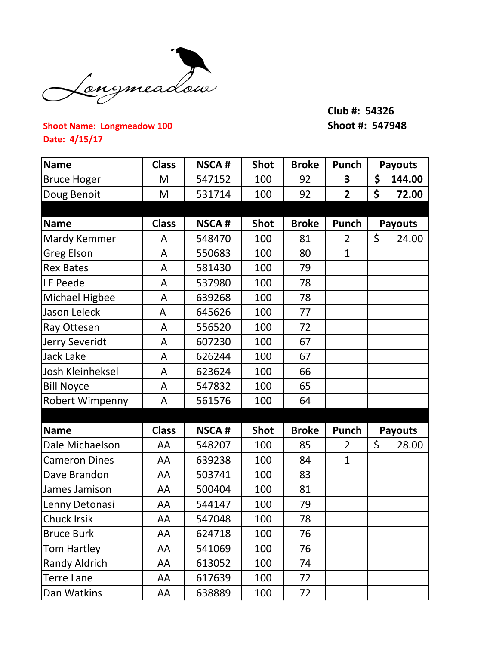

## **Club #: 54326**

## **Shoot Name: Longmeadow 100 Shoot #: 547948 Date: 4/15/17**

| <b>Name</b>          | <b>Class</b> | <b>NSCA#</b> | <b>Shot</b> | <b>Broke</b> | Punch          | <b>Payouts</b> |
|----------------------|--------------|--------------|-------------|--------------|----------------|----------------|
| <b>Bruce Hoger</b>   | M            | 547152       | 100         | 92           | 3              | \$<br>144.00   |
| Doug Benoit          | M            | 531714       | 100         | 92           | $\overline{2}$ | \$<br>72.00    |
|                      |              |              |             |              |                |                |
| <b>Name</b>          | <b>Class</b> | <b>NSCA#</b> | <b>Shot</b> | <b>Broke</b> | Punch          | <b>Payouts</b> |
| Mardy Kemmer         | A            | 548470       | 100         | 81           | $\overline{2}$ | \$<br>24.00    |
| <b>Greg Elson</b>    | A            | 550683       | 100         | 80           | $\mathbf{1}$   |                |
| <b>Rex Bates</b>     | A            | 581430       | 100         | 79           |                |                |
| LF Peede             | A            | 537980       | 100         | 78           |                |                |
| Michael Higbee       | A            | 639268       | 100         | 78           |                |                |
| Jason Leleck         | A            | 645626       | 100         | 77           |                |                |
| Ray Ottesen          | A            | 556520       | 100         | 72           |                |                |
| Jerry Severidt       | A            | 607230       | 100         | 67           |                |                |
| Jack Lake            | A            | 626244       | 100         | 67           |                |                |
| Josh Kleinheksel     | A            | 623624       | 100         | 66           |                |                |
| <b>Bill Noyce</b>    | A            | 547832       | 100         | 65           |                |                |
| Robert Wimpenny      | A            | 561576       | 100         | 64           |                |                |
|                      |              |              |             |              |                |                |
| <b>Name</b>          | <b>Class</b> | <b>NSCA#</b> | <b>Shot</b> | <b>Broke</b> | Punch          | <b>Payouts</b> |
| Dale Michaelson      | AA           | 548207       | 100         | 85           | $\overline{2}$ | \$<br>28.00    |
| <b>Cameron Dines</b> | AA           | 639238       | 100         | 84           | $\mathbf{1}$   |                |
| Dave Brandon         | AA           | 503741       | 100         | 83           |                |                |
| James Jamison        | AA           | 500404       | 100         | 81           |                |                |
| Lenny Detonasi       | AA           | 544147       | 100         | 79           |                |                |
| Chuck Irsik          | AA           | 547048       | 100         | 78           |                |                |
| <b>Bruce Burk</b>    | AA           | 624718       | 100         | 76           |                |                |
| Tom Hartley          | AA           | 541069       | 100         | 76           |                |                |
| <b>Randy Aldrich</b> | AA           | 613052       | 100         | 74           |                |                |
| <b>Terre Lane</b>    | AA           | 617639       | 100         | 72           |                |                |
| Dan Watkins          | AA           | 638889       | 100         | 72           |                |                |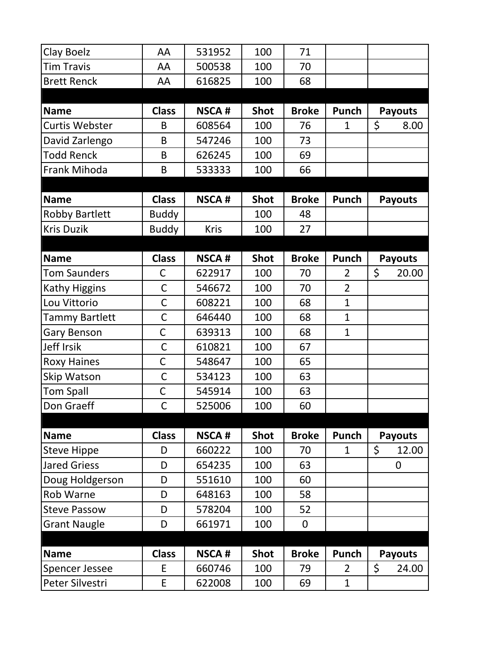| Clay Boelz            | AA           | 531952       | 100         | 71           |                |                |
|-----------------------|--------------|--------------|-------------|--------------|----------------|----------------|
| <b>Tim Travis</b>     | AA           | 500538       | 100         | 70           |                |                |
| <b>Brett Renck</b>    | AA           | 616825       | 100         | 68           |                |                |
|                       |              |              |             |              |                |                |
| <b>Name</b>           | <b>Class</b> | <b>NSCA#</b> | <b>Shot</b> | <b>Broke</b> | Punch          | <b>Payouts</b> |
| <b>Curtis Webster</b> | B            | 608564       | 100         | 76           | $\mathbf{1}$   | \$<br>8.00     |
| David Zarlengo        | B            | 547246       | 100         | 73           |                |                |
| <b>Todd Renck</b>     | B            | 626245       | 100         | 69           |                |                |
| Frank Mihoda          | B            | 533333       | 100         | 66           |                |                |
|                       |              |              |             |              |                |                |
| <b>Name</b>           | <b>Class</b> | <b>NSCA#</b> | <b>Shot</b> | <b>Broke</b> | Punch          | <b>Payouts</b> |
| <b>Robby Bartlett</b> | <b>Buddy</b> |              | 100         | 48           |                |                |
| <b>Kris Duzik</b>     | <b>Buddy</b> | Kris         | 100         | 27           |                |                |
|                       |              |              |             |              |                |                |
| <b>Name</b>           | <b>Class</b> | <b>NSCA#</b> | <b>Shot</b> | <b>Broke</b> | Punch          | <b>Payouts</b> |
| <b>Tom Saunders</b>   | С            | 622917       | 100         | 70           | 2              | \$<br>20.00    |
| Kathy Higgins         | $\mathsf C$  | 546672       | 100         | 70           | $\overline{2}$ |                |
| Lou Vittorio          | $\mathsf C$  | 608221       | 100         | 68           | $\mathbf{1}$   |                |
| Tammy Bartlett        | $\mathsf C$  | 646440       | 100         | 68           | $\mathbf{1}$   |                |
| <b>Gary Benson</b>    | C            | 639313       | 100         | 68           | $\mathbf{1}$   |                |
| <b>Jeff Irsik</b>     | $\mathsf C$  | 610821       | 100         | 67           |                |                |
| <b>Roxy Haines</b>    | C            | 548647       | 100         | 65           |                |                |
| Skip Watson           | $\mathsf C$  | 534123       | 100         | 63           |                |                |
| <b>Tom Spall</b>      | C            | 545914       | 100         | 63           |                |                |
| Don Graeff            | $\mathsf{C}$ | 525006       | 100         | 60           |                |                |
|                       |              |              |             |              |                |                |
| <b>Name</b>           | <b>Class</b> | <b>NSCA#</b> | <b>Shot</b> | <b>Broke</b> | Punch          | <b>Payouts</b> |
| <b>Steve Hippe</b>    | D            | 660222       | 100         | 70           | $\mathbf 1$    | \$<br>12.00    |
| <b>Jared Griess</b>   | D            | 654235       | 100         | 63           |                | 0              |
| Doug Holdgerson       | D            | 551610       | 100         | 60           |                |                |
| Rob Warne             | D            | 648163       | 100         | 58           |                |                |
| <b>Steve Passow</b>   | D            | 578204       | 100         | 52           |                |                |
| <b>Grant Naugle</b>   | D            | 661971       | 100         | 0            |                |                |
|                       |              |              |             |              |                |                |
| <b>Name</b>           | <b>Class</b> | <b>NSCA#</b> | <b>Shot</b> | <b>Broke</b> | Punch          | <b>Payouts</b> |
| <b>Spencer Jessee</b> | E            | 660746       | 100         | 79           | $\overline{2}$ | \$<br>24.00    |
| Peter Silvestri       | E            | 622008       | 100         | 69           | 1              |                |